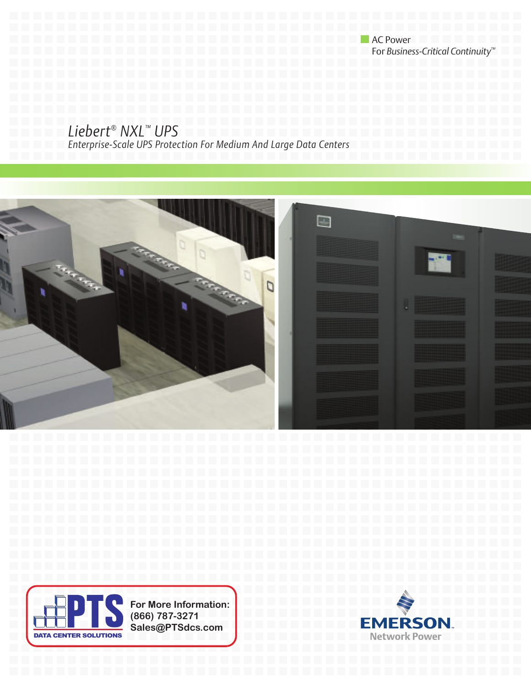**AC Power** For *Business-Critical Continuity™*

## *Liebert® NXL™ UPS*

*Enterprise-Scale UPS Protection For Medium And Large Data Centers* 





**For More Information: (866) 787-3271 Sales@PTSdcs.com**

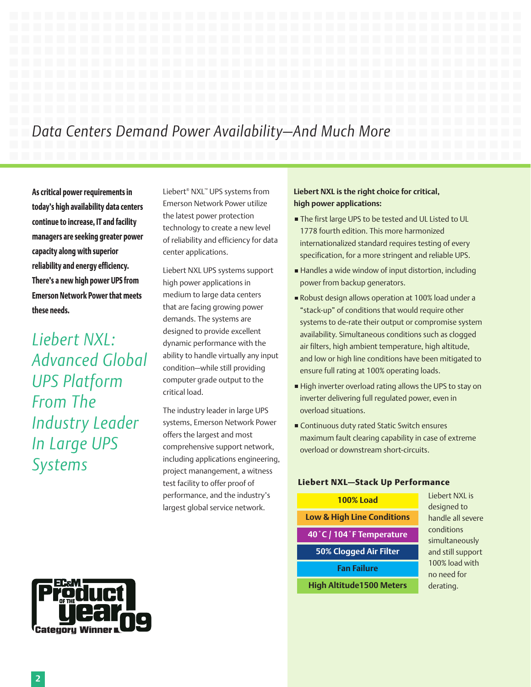# *Data Centers Demand Power Availability—And Much More*

**As critical power requirements in today's high availability data centers continue to increase, IT and facility managers are seeking greater power capacity along with superior reliability and energy efficiency. There's a new high power UPS from Emerson Network Power that meets these needs.**

*Liebert NXL: Advanced Global UPS Platform From The Industry Leader In Large UPS Systems*

Liebert® NXL™ UPS systems from Emerson Network Power utilize the latest power protection technology to create a new level of reliability and efficiency for data center applications.

Liebert NXL UPS systems support high power applications in medium to large data centers that are facing growing power demands. The systems are designed to provide excellent dynamic performance with the ability to handle virtually any input condition—while still providing computer grade output to the critical load.

The industry leader in large UPS systems, Emerson Network Power offers the largest and most comprehensive support network, including applications engineering, project manangement, a witness test facility to offer proof of performance, and the industry's largest global service network.

## **Liebert NXL is the right choice for critical, high power applications:**

- The first large UPS to be tested and UL Listed to UL 1778 fourth edition. This more harmonized internationalized standard requires testing of every specification, for a more stringent and reliable UPS.
- Handles a wide window of input distortion, including power from backup generators.
- Robust design allows operation at 100% load under a "stack-up" of conditions that would require other systems to de-rate their output or compromise system availability. Simultaneous conditions such as clogged air filters, high ambient temperature, high altitude, and low or high line conditions have been mitigated to ensure full rating at 100% operating loads.
- High inverter overload rating allows the UPS to stay on inverter delivering full regulated power, even in overload situations.
- Continuous duty rated Static Switch ensures maximum fault clearing capability in case of extreme overload or downstream short-circuits.

## **Liebert NXL—Stack Up Performance**

| <b>100% Load</b>                      |  |  |  |  |
|---------------------------------------|--|--|--|--|
| <b>Low &amp; High Line Conditions</b> |  |  |  |  |
| 40°C / 104°F Temperature              |  |  |  |  |
| <b>50% Clogged Air Filter</b>         |  |  |  |  |
| <b>Fan Failure</b>                    |  |  |  |  |
| <b>High Altitude1500 Meters</b>       |  |  |  |  |

Liebert NXL is designed to handle all severe conditions simultaneously and still support 100% load with no need for derating.



## **2**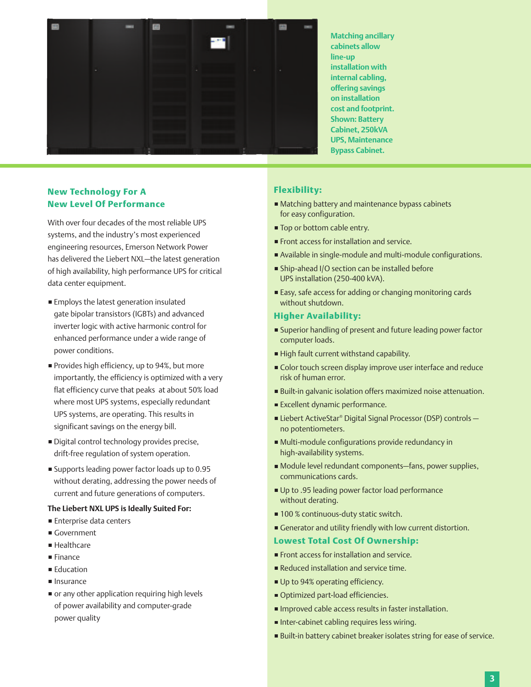

**Matching ancillary cabinets allow line-up installation with internal cabling, offering savings on installation cost and footprint. Shown: Battery Cabinet, 250kVA UPS, Maintenance Bypass Cabinet.**

## **New Technology For A New Level Of Performance**

With over four decades of the most reliable UPS systems, and the industry's most experienced engineering resources, Emerson Network Power has delivered the Liebert NXL—the latest generation of high availability, high performance UPS for critical data center equipment.

- **Employs the latest generation insulated** gate bipolar transistors (IGBTs) and advanced inverter logic with active harmonic control for enhanced performance under a wide range of power conditions.
- Provides high efficiency, up to 94%, but more importantly, the efficiency is optimized with a very flat efficiency curve that peaks at about 50% load where most UPS systems, especially redundant UPS systems, are operating. This results in significant savings on the energy bill.
- Digital control technology provides precise, drift-free regulation of system operation.
- Supports leading power factor loads up to 0.95 without derating, addressing the power needs of current and future generations of computers.

#### **The Liebert NXL UPS is Ideally Suited For:**

- **Enterprise data centers**
- Government
- Healthcare
- **Finance**
- **Education**
- **Insurance**
- or any other application requiring high levels of power availability and computer-grade power quality

## **Flexibility:**

- Matching battery and maintenance bypass cabinets for easy configuration.
- **Top or bottom cable entry.**
- **Front access for installation and service.**
- Available in single-module and multi-module configurations.
- Ship-ahead I/O section can be installed before UPS installation (250-400 kVA).
- Easy, safe access for adding or changing monitoring cards without shutdown.

#### **Higher Availability:**

- Superior handling of present and future leading power factor computer loads.
- High fault current withstand capability.
- **Color touch screen display improve user interface and reduce** risk of human error.
- Built-in galvanic isolation offers maximized noise attenuation.
- **Excellent dynamic performance.**
- Liebert ActiveStar® Digital Signal Processor (DSP) controls no potentiometers.
- Multi-module configurations provide redundancy in high-availability systems.
- Module level redundant components—fans, power supplies, communications cards.
- Up to .95 leading power factor load performance without derating.
- 100 % continuous-duty static switch.
- Generator and utility friendly with low current distortion.

#### **Lowest Total Cost Of Ownership:**

- **Front access for installation and service.**
- Reduced installation and service time.
- Up to 94% operating efficiency.
- **Optimized part-load efficiencies.**
- **Improved cable access results in faster installation.**
- Inter-cabinet cabling requires less wiring.
- Built-in battery cabinet breaker isolates string for ease of service.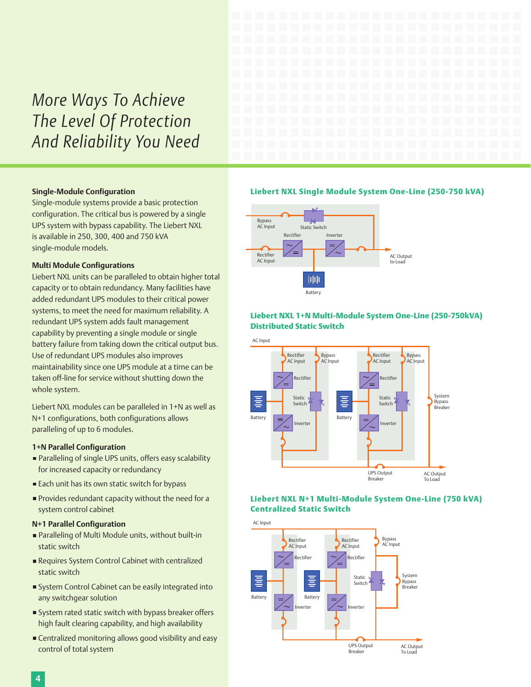# *More Ways To Achieve The Level Of Protection And Reliability You Need*

#### **Single-Module Configuration**

Single-module systems provide a basic protection configuration. The critical bus is powered by a single UPS system with bypass capability. The Liebert NXL is available in 250, 300, 400 and 750 kVA single-module models.

#### **Multi Module Configurations**

Liebert NXL units can be paralleled to obtain higher total capacity or to obtain redundancy. Many facilities have added redundant UPS modules to their critical power systems, to meet the need for maximum reliability. A redundant UPS system adds fault management capability by preventing a single module or single battery failure from taking down the critical output bus. Use of redundant UPS modules also improves maintainability since one UPS module at a time can be taken off-line for service without shutting down the whole system.

Liebert NXL modules can be paralleled in 1+N as well as N+1 configurations, both configurations allows paralleling of up to 6 modules.

#### **1+N Parallel Configuration**

- Paralleling of single UPS units, offers easy scalability for increased capacity or redundancy
- Each unit has its own static switch for bypass
- **Provides redundant capacity without the need for a** system control cabinet

#### **N+1 Parallel Configuration**

- Paralleling of Multi Module units, without built-in static switch
- Requires System Control Cabinet with centralized static switch
- System Control Cabinet can be easily integrated into any switchgear solution
- System rated static switch with bypass breaker offers high fault clearing capability, and high availability
- **Centralized monitoring allows good visibility and easy** control of total system

#### **Liebert NXL Single Module System One-Line (250-750 kVA)**



### **Liebert NXL 1+N Multi-Module System One-Line (250-750kVA) Distributed Static Switch**



## **Liebert NXL N+1 Multi-Module System One-Line (750 kVA) Centralized Static Switch**

AC Input

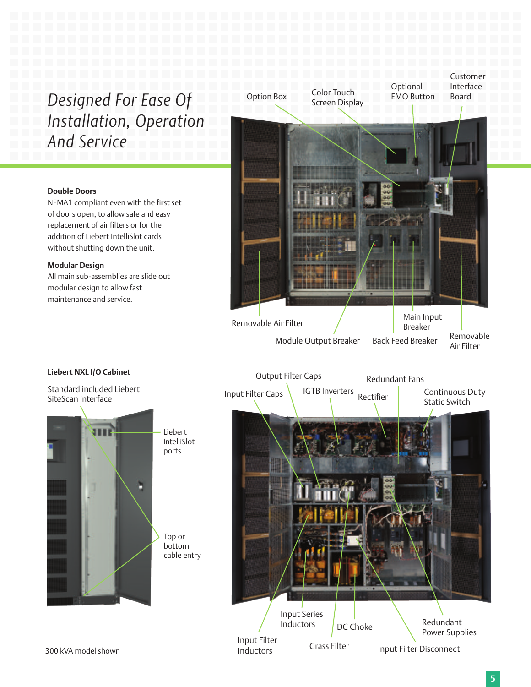# *Designed For Ease Of Installation, Operation And Service*

## **Double Doors**

NEMA1 compliant even with the first set of doors open, to allow safe and easy replacement of air filters or for the addition of Liebert IntelliSlot cards without shutting down the unit.

#### **Modular Design**

All main sub-assemblies are slide out modular design to allow fast maintenance and service.



## **Liebert NXL I/O Cabinet**

Standard included Liebert SiteScan interface



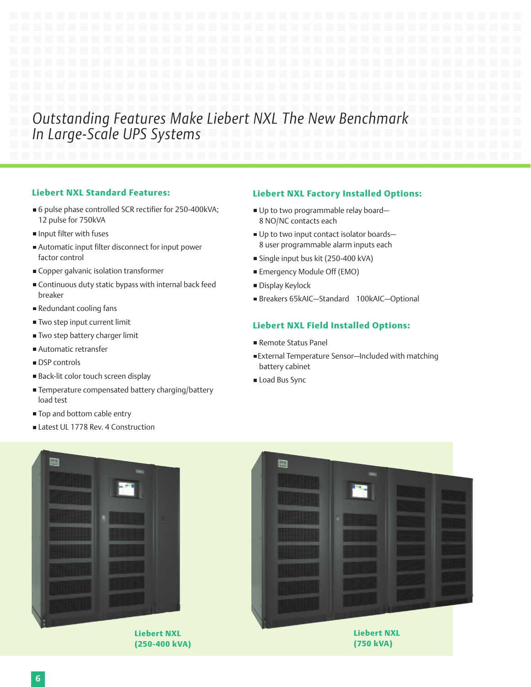## *Outstanding Features Make Liebert NXL The New Benchmark In Large-Scale UPS Systems*

## **Liebert NXL Standard Features:**

- 6 pulse phase controlled SCR rectifier for 250-400kVA; 12 pulse for 750kVA
- Input filter with fuses
- Automatic input filter disconnect for input power factor control
- Copper galvanic isolation transformer
- Continuous duty static bypass with internal back feed breaker
- Redundant cooling fans
- **Two step input current limit**
- Two step battery charger limit
- Automatic retransfer
- DSP controls
- Back-lit color touch screen display
- Temperature compensated battery charging/battery load test
- Top and bottom cable entry
- Latest UL 1778 Rev. 4 Construction

## **Liebert NXL Factory Installed Options:**

- Up to two programmable relay board-8 NO/NC contacts each
- Up to two input contact isolator boards-8 user programmable alarm inputs each
- Single input bus kit (250-400 kVA)
- Emergency Module Off (EMO)
- **Display Keylock**
- Breakers 65kAIC—Standard 100kAIC—Optional

## **Liebert NXL Field Installed Options:**

- Remote Status Panel
- External Temperature Sensor—Included with matching battery cabinet
- Load Bus Sync



**Liebert NXL (250-400 kVA)**

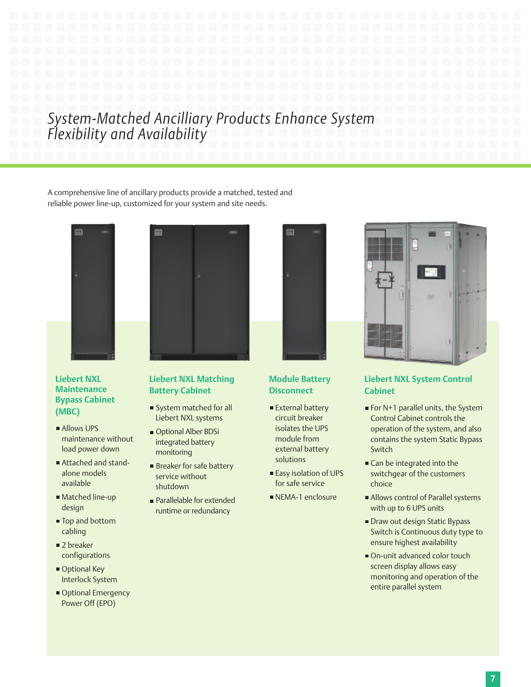## *System-Matched Ancilliary Products Enhance System Flexibility and Availability*

A comprehensive line of ancillary products provide a matched, tested and reliable power line-up, customized for your system and site needs.

m



## **Liebert NXL Maintenance Bypass Cabinet (MBC)**

- Allows UPS maintenance without load power down
- Attached and standalone models available
- Matched line-up design
- Top and bottom cabling
- 2 breaker configurations
- Optional Key Interlock System
- Optional Emergency Power Off (EPO)

## **Liebert NXL Matching Battery Cabinet**

- System matched for all Liebert NXL systems
- Optional Alber BDSi integrated battery monitoring
- **Breaker for safe battery** service without shutdown
- **Parallelable for extended** runtime or redundancy



## **Module Battery Disconnect**

- External battery circuit breaker isolates the UPS module from external battery solutions
- Easy isolation of UPS for safe service
- NEMA-1 enclosure



## **Liebert NXL System Control Cabinet**

- For  $N+1$  parallel units, the System Control Cabinet controls the operation of the system, and also contains the system Static Bypass Switch
- Can be integrated into the switchgear of the customers choice
- Allows control of Parallel systems with up to 6 UPS units
- Draw out design Static Bypass Switch is Continuous duty type to ensure highest availability
- On-unit advanced color touch screen display allows easy monitoring and operation of the entire parallel system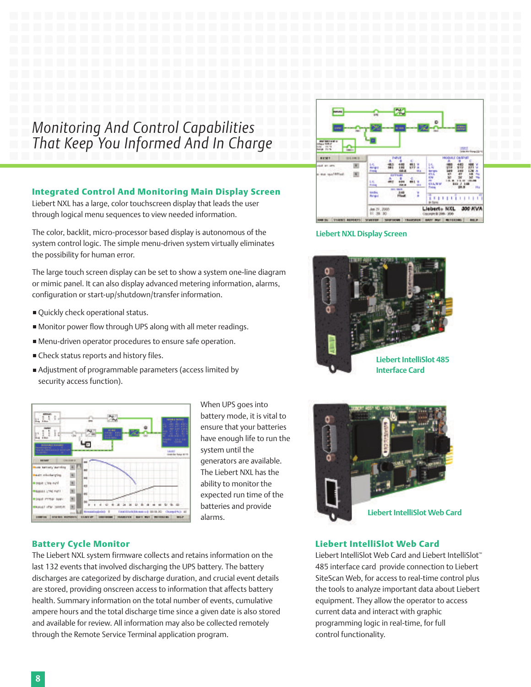## *Monitoring And Control Capabilities That Keep You Informed And In Charge*

## **Integrated Control And Monitoring Main Display Screen**

Liebert NXL has a large, color touchscreen display that leads the user through logical menu sequences to view needed information.

The color, backlit, micro-processor based display is autonomous of the system control logic. The simple menu-driven system virtually eliminates the possibility for human error.

The large touch screen display can be set to show a system one-line diagram or mimic panel. It can also display advanced metering information, alarms, configuration or start-up/shutdown/transfer information.

- Ouickly check operational status.
- Monitor power flow through UPS along with all meter readings.
- Menu-driven operator procedures to ensure safe operation.
- Check status reports and history files.
- Adjustment of programmable parameters (access limited by security access function).



When UPS goes into battery mode, it is vital to ensure that your batteries have enough life to run the system until the generators are available. The Liebert NXL has the ability to monitor the expected run time of the batteries and provide alarms.

## **Battery Cycle Monitor**

The Liebert NXL system firmware collects and retains information on the last 132 events that involved discharging the UPS battery. The battery discharges are categorized by discharge duration, and crucial event details are stored, providing onscreen access to information that affects battery health. Summary information on the total number of events, cumulative ampere hours and the total discharge time since a given date is also stored and available for review. All information may also be collected remotely through the Remote Service Terminal application program.



#### **Liebert NXL Display Screen**





## **Liebert IntelliSlot Web Card**

Liebert IntelliSlot Web Card and Liebert IntelliSlot™ 485 interface card provide connection to Liebert SiteScan Web, for access to real-time control plus the tools to analyze important data about Liebert equipment. They allow the operator to access current data and interact with graphic programming logic in real-time, for full control functionality.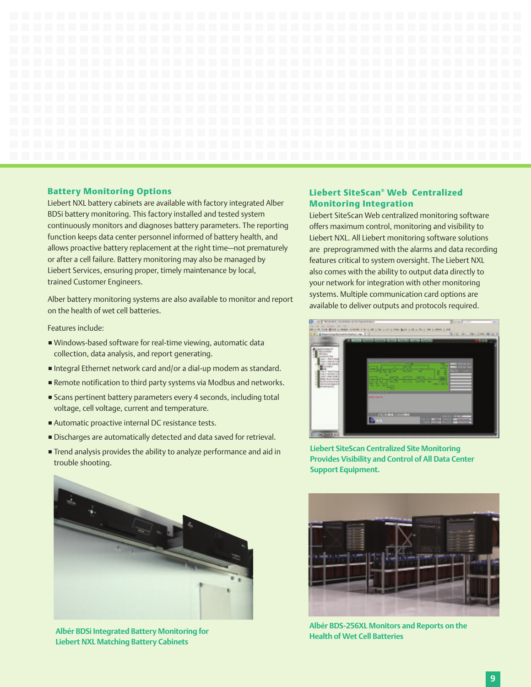

#### **Battery Monitoring Options**

Liebert NXL battery cabinets are available with factory integrated Alber BDSi battery monitoring. This factory installed and tested system continuously monitors and diagnoses battery parameters. The reporting function keeps data center personnel informed of battery health, and allows proactive battery replacement at the right time—not prematurely or after a cell failure. Battery monitoring may also be managed by Liebert Services, ensuring proper, timely maintenance by local, trained Customer Engineers.

Alber battery monitoring systems are also available to monitor and report on the health of wet cell batteries.

Features include:

- Windows-based software for real-time viewing, automatic data collection, data analysis, and report generating.
- Integral Ethernet network card and/or a dial-up modem as standard.
- Remote notification to third party systems via Modbus and networks.
- Scans pertinent battery parameters every 4 seconds, including total voltage, cell voltage, current and temperature.
- Automatic proactive internal DC resistance tests.
- Discharges are automatically detected and data saved for retrieval.
- Trend analysis provides the ability to analyze performance and aid in trouble shooting.



**Albér BDSi Integrated Battery Monitoring for Liebert NXL Matching Battery Cabinets**

## **Liebert SiteScan® Web Centralized Monitoring Integration**

Liebert SiteScan Web centralized monitoring software offers maximum control, monitoring and visibility to Liebert NXL. All Liebert monitoring software solutions are preprogrammed with the alarms and data recording features critical to system oversight. The Liebert NXL also comes with the ability to output data directly to your network for integration with other monitoring systems. Multiple communication card options are available to deliver outputs and protocols required.



**Liebert SiteScan Centralized Site Monitoring Provides Visibility and Control of All Data Center Support Equipment.**



**Albér BDS-256XL Monitors and Reports on the Health of Wet Cell Batteries**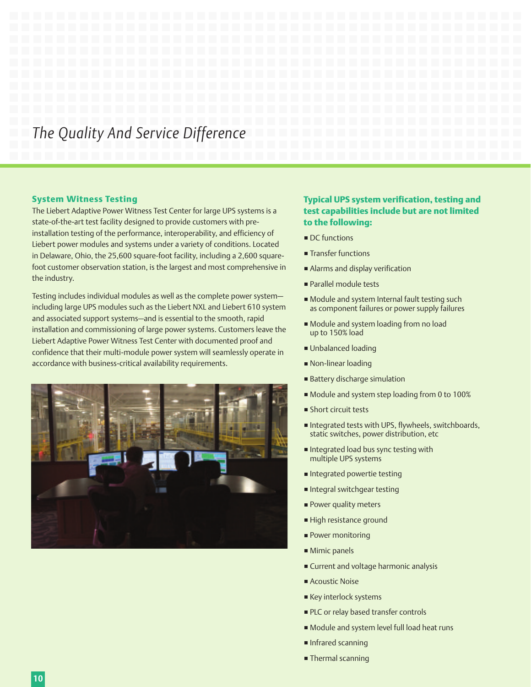## *The Quality And Service Difference*

#### **System Witness Testing**

The Liebert Adaptive Power Witness Test Center for large UPS systems is a state-of-the-art test facility designed to provide customers with preinstallation testing of the performance, interoperability, and efficiency of Liebert power modules and systems under a variety of conditions. Located in Delaware, Ohio, the 25,600 square-foot facility, including a 2,600 squarefoot customer observation station, is the largest and most comprehensive in the industry.

Testing includes individual modules as well as the complete power system including large UPS modules such as the Liebert NXL and Liebert 610 system and associated support systems—and is essential to the smooth, rapid installation and commissioning of large power systems. Customers leave the Liebert Adaptive Power Witness Test Center with documented proof and confidence that their multi-module power system will seamlessly operate in accordance with business-critical availability requirements.



## **Typical UPS system verification, testing and test capabilities include but are not limited to the following:**

- DC functions
- **Transfer functions**
- Alarms and display verification
- Parallel module tests
- Module and system Internal fault testing such as component failures or power supply failures
- Module and system loading from no load up to 150% load
- Unbalanced loading
- Non-linear loading
- Battery discharge simulation
- Module and system step loading from 0 to 100%
- **Short circuit tests**
- Integrated tests with UPS, flywheels, switchboards, static switches, power distribution, etc
- Integrated load bus sync testing with multiple UPS systems
- Integrated powertie testing
- Integral switchgear testing
- **Power quality meters**
- High resistance ground
- **Power monitoring**
- Mimic panels
- **Current and voltage harmonic analysis**
- **Acoustic Noise**
- Key interlock systems
- **PLC** or relay based transfer controls
- Module and system level full load heat runs
- **Infrared scanning**
- **Thermal scanning**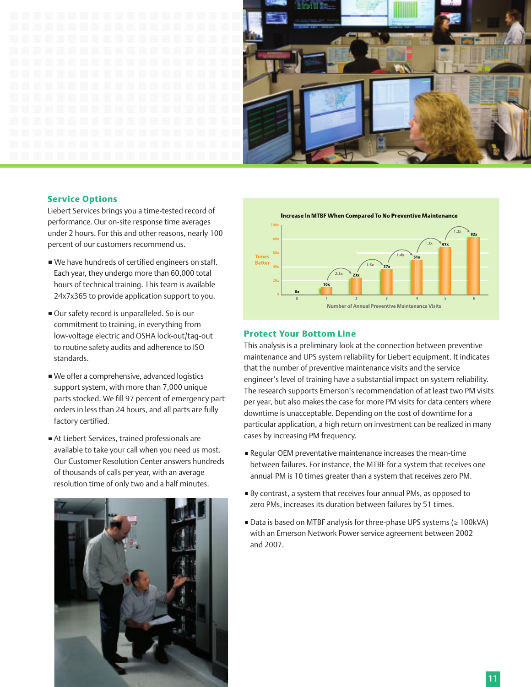

#### **Service Options**

Liebert Services brings you a time-tested record of performance. Our on-site response time averages under 2 hours. For this and other reasons, nearly 100 percent of our customers recommend us.

- We have hundreds of certified engineers on staff. Each year, they undergo more than 60,000 total hours of technical training. This team is available 24x7x365 to provide application support to you.
- Our safety record is unparalleled. So is our commitment to training, in everything from low-voltage electric and OSHA lock-out/tag-out to routine safety audits and adherence to ISO standards.
- We offer a comprehensive, advanced logistics support system, with more than 7,000 unique parts stocked. We fill 97 percent of emergency part orders in less than 24 hours, and all parts are fully factory certified.
- At Liebert Services, trained professionals are available to take your call when you need us most. Our Customer Resolution Center answers hundreds of thousands of calls per year, with an average resolution time of only two and a half minutes.





## **Protect Your Bottom Line**

This analysis is a preliminary look at the connection between preventive maintenance and UPS system reliability for Liebert equipment. It indicates that the number of preventive maintenance visits and the service engineer's level of training have a substantial impact on system reliability. The research supports Emerson's recommendation of at least two PM visits per year, but also makes the case for more PM visits for data centers where downtime is unacceptable. Depending on the cost of downtime for a particular application, a high return on investment can be realized in many cases by increasing PM frequency.

- Regular OEM preventative maintenance increases the mean-time between failures. For instance, the MTBF for a system that receives one annual PM is 10 times greater than a system that receives zero PM.
- By contrast, a system that receives four annual PMs, as opposed to zero PMs, increases its duration between failures by 51 times.
- Data is based on MTBF analysis for three-phase UPS systems (≥ 100kVA) with an Emerson Network Power service agreement between 2002 and 2007.